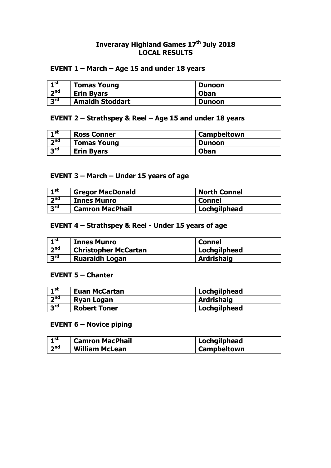#### **Inveraray Highland Games 17th July 2018 LOCAL RESULTS**

### **EVENT 1 – March – Age 15 and under 18 years**

| ⊣ st              | <b>Tomas Young</b>     | <b>Dunoon</b> |
|-------------------|------------------------|---------------|
| 2 <sub>nd</sub>   | <b>Erin Byars</b>      | <b>Oban</b>   |
| $\overline{2}$ rd | <b>Amaidh Stoddart</b> | <b>Dunoon</b> |

#### **EVENT 2 – Strathspey & Reel – Age 15 and under 18 years**

| - st            | <b>Ross Conner</b> | <b>Campbeltown</b> |
|-----------------|--------------------|--------------------|
| <sub>2</sub> nd | <b>Tomas Young</b> | Dunoon             |
| <b>Rus</b>      | <b>Erin Byars</b>  | <b>Oban</b>        |

### **EVENT 3 – March – Under 15 years of age**

| $-1$ st         | <b>Gregor MacDonald</b> | <b>North Connel</b> |
|-----------------|-------------------------|---------------------|
| 2 <sup>nd</sup> | <b>Innes Munro</b>      | <b>Connel</b>       |
| 3 <sup>rd</sup> | <b>Camron MacPhail</b>  | Lochgilphead        |

## **EVENT 4 – Strathspey & Reel - Under 15 years of age**

| $\mathbf{1}^{\mathsf{st}}$ | <b>Innes Munro</b>          | <b>Connel</b>     |
|----------------------------|-----------------------------|-------------------|
| 2 <sub>nd</sub>            | <b>Christopher McCartan</b> | Lochgilphead      |
| 3 <sup>rd</sup>            | <b>Ruaraidh Logan</b>       | <b>Ardrishaig</b> |

#### **EVENT 5 – Chanter**

| $\mathbf{I}$ st | <b>Euan McCartan</b> | Lochgilphead      |
|-----------------|----------------------|-------------------|
| 2 <sub>nd</sub> | <b>Ryan Logan</b>    | <b>Ardrishaig</b> |
| 3 <sup>rd</sup> | <b>Robert Toner</b>  | Lochgilphead      |

## **EVENT 6 – Novice piping**

| ⊣ st            | <b>Camron MacPhail</b> | Lochgilphead             |
|-----------------|------------------------|--------------------------|
| 2 <sub>nd</sub> | <b>William McLean</b>  | <sup>'</sup> Campbeltown |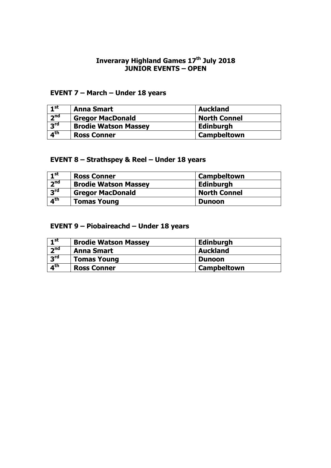# **Inveraray Highland Games 17<sup>th</sup> July 2018 JUNIOR EVENTS – OPEN**

# **EVENT 7 – March – Under 18 years**

| $\mathbf{I}^{\mathsf{st}}$ | <b>Anna Smart</b>           | <b>Auckland</b>     |
|----------------------------|-----------------------------|---------------------|
| 2 <sub>nd</sub>            | <b>Gregor MacDonald</b>     | <b>North Connel</b> |
| 3 <sup>rd</sup>            | <b>Brodie Watson Massey</b> | <b>Edinburgh</b>    |
| 4 <sup>th</sup>            | <b>Ross Conner</b>          | Campbeltown         |

# **EVENT 8 – Strathspey & Reel – Under 18 years**

| 1 <sup>st</sup>            | <b>Ross Conner</b>          | <b>Campbeltown</b>  |
|----------------------------|-----------------------------|---------------------|
| 7 <sub>nd</sub>            | <b>Brodie Watson Massey</b> | <b>Edinburgh</b>    |
| 3 <sup>rd</sup>            | <b>Gregor MacDonald</b>     | <b>North Connel</b> |
| $\overline{4}^{\text{th}}$ | <b>Tomas Young</b>          | <b>Dunoon</b>       |

# **EVENT 9 – Piobaireachd – Under 18 years**

| 1 <sup>st</sup> | <b>Brodie Watson Massey</b> | <b>Edinburgh</b>   |
|-----------------|-----------------------------|--------------------|
| 2 <sub>nd</sub> | <b>Anna Smart</b>           | <b>Auckland</b>    |
| 3 <sup>rd</sup> | <b>Tomas Young</b>          | <b>Dunoon</b>      |
| 4 <sup>th</sup> | <b>Ross Conner</b>          | <b>Campbeltown</b> |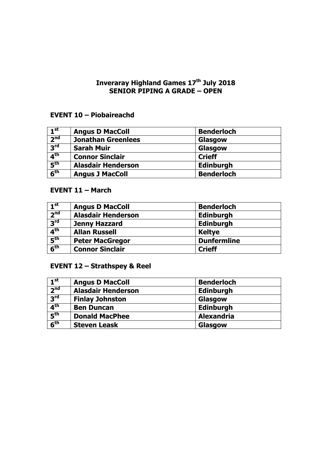#### **Inveraray Highland Games 17th July 2018 SENIOR PIPING A GRADE – OPEN**

## **EVENT 10 – Piobaireachd**

| 1 <sup>st</sup>            | <b>Angus D MacColl</b>    | <b>Benderloch</b> |
|----------------------------|---------------------------|-------------------|
| 2 <sup>nd</sup>            | <b>Jonathan Greenlees</b> | Glasgow           |
| $R^{\text{rd}}$            | <b>Sarah Muir</b>         | Glasgow           |
| $\mathbf{A}^{\text{th}}$   | <b>Connor Sinclair</b>    | <b>Crieff</b>     |
| $\overline{5}^{\text{th}}$ | <b>Alasdair Henderson</b> | <b>Edinburgh</b>  |
| 6 <sup>th</sup>            | <b>Angus J MacColl</b>    | <b>Benderloch</b> |

# **EVENT 11 – March**

| 1 <sup>st</sup>                     | <b>Angus D MacColl</b>    | <b>Benderloch</b>  |
|-------------------------------------|---------------------------|--------------------|
| 2 <sup>nd</sup>                     | <b>Alasdair Henderson</b> | Edinburgh          |
| 3 <sup>rd</sup>                     | <b>Jenny Hazzard</b>      | <b>Edinburgh</b>   |
| 4 <sup>th</sup>                     | <b>Allan Russell</b>      | <b>Keltye</b>      |
| $\overline{\mathbf{5}}^{\text{th}}$ | <b>Peter MacGregor</b>    | <b>Dunfermline</b> |
| 6 <sup>th</sup>                     | <b>Connor Sinclair</b>    | <b>Crieff</b>      |

# **EVENT 12 – Strathspey & Reel**

| 1 <sup>st</sup> | <b>Angus D MacColl</b>    | <b>Benderloch</b> |
|-----------------|---------------------------|-------------------|
| 2 <sup>nd</sup> | <b>Alasdair Henderson</b> | <b>Edinburgh</b>  |
| 3 <sup>rd</sup> | <b>Finlay Johnston</b>    | Glasgow           |
| 4 <sup>th</sup> | <b>Ben Duncan</b>         | <b>Edinburgh</b>  |
| 5 <sup>th</sup> | <b>Donald MacPhee</b>     | <b>Alexandria</b> |
| 6 <sup>th</sup> | <b>Steven Leask</b>       | Glasgow           |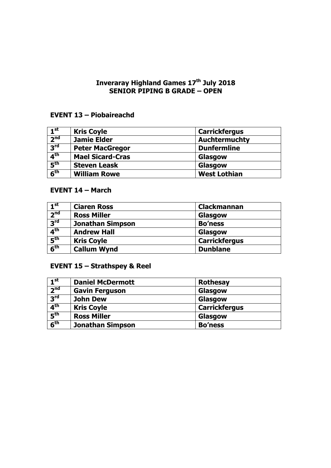#### **Inveraray Highland Games 17th July 2018 SENIOR PIPING B GRADE – OPEN**

## **EVENT 13 – Piobaireachd**

| 1 <sup>st</sup>                     | <b>Kris Coyle</b>       | <b>Carrickfergus</b> |  |
|-------------------------------------|-------------------------|----------------------|--|
| 2 <sup>nd</sup>                     | <b>Jamie Elder</b>      | <b>Auchtermuchty</b> |  |
| $R^{\text{rd}}$                     | <b>Peter MacGregor</b>  | <b>Dunfermline</b>   |  |
| 4 <sup>th</sup>                     | <b>Mael Sicard-Cras</b> | Glasgow              |  |
| $\overline{\mathbf{5}}^{\text{th}}$ | <b>Steven Leask</b>     | Glasgow              |  |
| 6 <sup>th</sup>                     | <b>William Rowe</b>     | <b>West Lothian</b>  |  |

# **EVENT 14 – March**

| 1 <sup>st</sup> | <b>Ciaren Ross</b>      | <b>Clackmannan</b>   |  |
|-----------------|-------------------------|----------------------|--|
| 2 <sup>nd</sup> | <b>Ross Miller</b>      | Glasgow              |  |
| 3 <sup>rd</sup> | <b>Jonathan Simpson</b> | <b>Bo'ness</b>       |  |
| 4 <sup>th</sup> | <b>Andrew Hall</b>      | Glasgow              |  |
| 5 <sup>th</sup> | <b>Kris Coyle</b>       | <b>Carrickfergus</b> |  |
| 6 <sup>th</sup> | <b>Callum Wynd</b>      | <b>Dunblane</b>      |  |

# **EVENT 15 – Strathspey & Reel**

| 1 <sup>st</sup>            | <b>Daniel McDermott</b> | <b>Rothesay</b>      |  |
|----------------------------|-------------------------|----------------------|--|
| $\overline{2}^{\text{nd}}$ | <b>Gavin Ferguson</b>   | Glasgow              |  |
| 3 <sup>rd</sup>            | <b>John Dew</b>         | Glasgow              |  |
| 4 <sup>th</sup>            | <b>Kris Coyle</b>       | <b>Carrickfergus</b> |  |
| 5 <sup>th</sup>            | <b>Ross Miller</b>      | Glasgow              |  |
| 6 <sup>th</sup>            | <b>Jonathan Simpson</b> | <b>Bo'ness</b>       |  |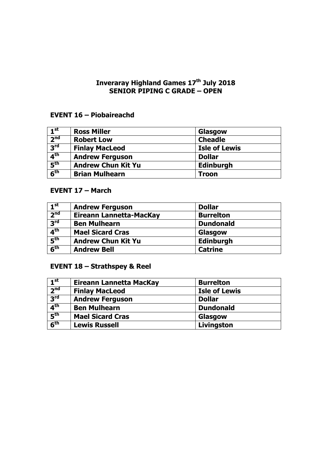#### **Inveraray Highland Games 17th July 2018 SENIOR PIPING C GRADE – OPEN**

## **EVENT 16 – Piobaireachd**

| 1 <sup>st</sup> | <b>Ross Miller</b>        | Glasgow              |
|-----------------|---------------------------|----------------------|
| 2 <sup>nd</sup> | <b>Robert Low</b>         | <b>Cheadle</b>       |
| $R^{\text{rd}}$ | <b>Finlay MacLeod</b>     | <b>Isle of Lewis</b> |
| 4 <sup>th</sup> | <b>Andrew Ferguson</b>    | <b>Dollar</b>        |
| $F_{\rm th}$    | <b>Andrew Chun Kit Yu</b> | <b>Edinburgh</b>     |
| 6 <sup>th</sup> | <b>Brian Mulhearn</b>     | <b>Troon</b>         |

# **EVENT 17 – March**

| 1 <sup>st</sup> | <b>Andrew Ferguson</b>    | <b>Dollar</b>    |
|-----------------|---------------------------|------------------|
| 2 <sup>nd</sup> | Eireann Lannetta-MacKay   | <b>Burrelton</b> |
| 3 <sup>rd</sup> | <b>Ben Mulhearn</b>       | <b>Dundonald</b> |
| 4 <sup>th</sup> | <b>Mael Sicard Cras</b>   | Glasgow          |
| 5 <sup>th</sup> | <b>Andrew Chun Kit Yu</b> | <b>Edinburgh</b> |
| 6 <sup>th</sup> | <b>Andrew Bell</b>        | <b>Catrine</b>   |

# **EVENT 18 – Strathspey & Reel**

| $\boxed{1^{\text{st}}}$ | Eireann Lannetta MacKay | <b>Burrelton</b>     |
|-------------------------|-------------------------|----------------------|
| 2 <sup>nd</sup>         | <b>Finlay MacLeod</b>   | <b>Isle of Lewis</b> |
| 3 <sup>rd</sup>         | <b>Andrew Ferguson</b>  | <b>Dollar</b>        |
| 4 <sup>th</sup>         | <b>Ben Mulhearn</b>     | <b>Dundonald</b>     |
| 5 <sup>th</sup>         | <b>Mael Sicard Cras</b> | Glasgow              |
| 6 <sup>th</sup>         | <b>Lewis Russell</b>    | Livingston           |